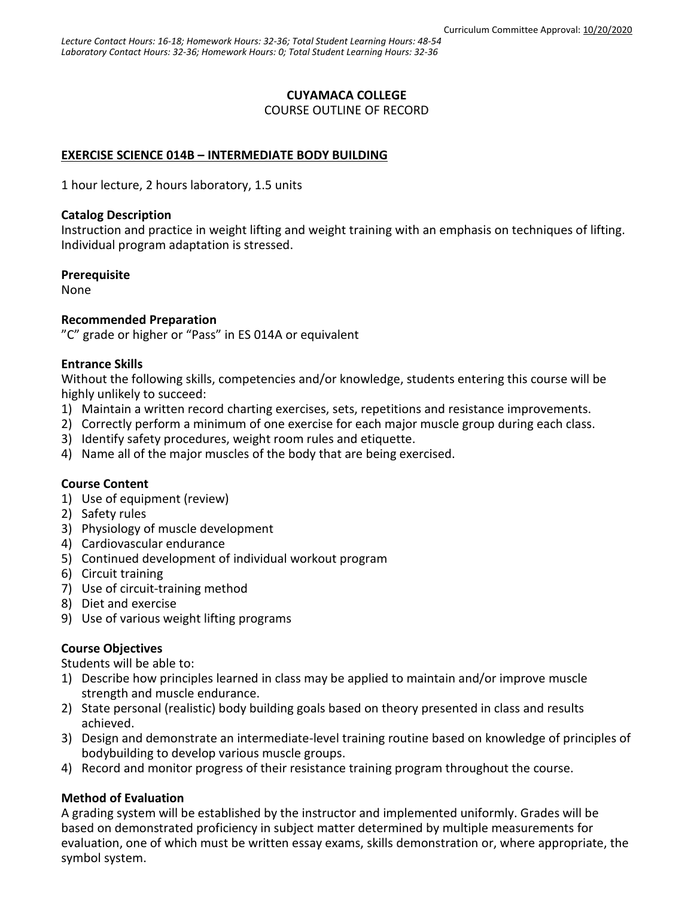### **CUYAMACA COLLEGE**

COURSE OUTLINE OF RECORD

### **EXERCISE SCIENCE 014B – INTERMEDIATE BODY BUILDING**

1 hour lecture, 2 hours laboratory, 1.5 units

#### **Catalog Description**

Instruction and practice in weight lifting and weight training with an emphasis on techniques of lifting. Individual program adaptation is stressed.

#### **Prerequisite**

None

### **Recommended Preparation**

"C" grade or higher or "Pass" in ES 014A or equivalent

#### **Entrance Skills**

Without the following skills, competencies and/or knowledge, students entering this course will be highly unlikely to succeed:

- 1) Maintain a written record charting exercises, sets, repetitions and resistance improvements.
- 2) Correctly perform a minimum of one exercise for each major muscle group during each class.
- 3) Identify safety procedures, weight room rules and etiquette.
- 4) Name all of the major muscles of the body that are being exercised.

### **Course Content**

- 1) Use of equipment (review)
- 2) Safety rules
- 3) Physiology of muscle development
- 4) Cardiovascular endurance
- 5) Continued development of individual workout program
- 6) Circuit training
- 7) Use of circuit-training method
- 8) Diet and exercise
- 9) Use of various weight lifting programs

### **Course Objectives**

Students will be able to:

- 1) Describe how principles learned in class may be applied to maintain and/or improve muscle strength and muscle endurance.
- 2) State personal (realistic) body building goals based on theory presented in class and results achieved.
- 3) Design and demonstrate an intermediate-level training routine based on knowledge of principles of bodybuilding to develop various muscle groups.
- 4) Record and monitor progress of their resistance training program throughout the course.

### **Method of Evaluation**

A grading system will be established by the instructor and implemented uniformly. Grades will be based on demonstrated proficiency in subject matter determined by multiple measurements for evaluation, one of which must be written essay exams, skills demonstration or, where appropriate, the symbol system.